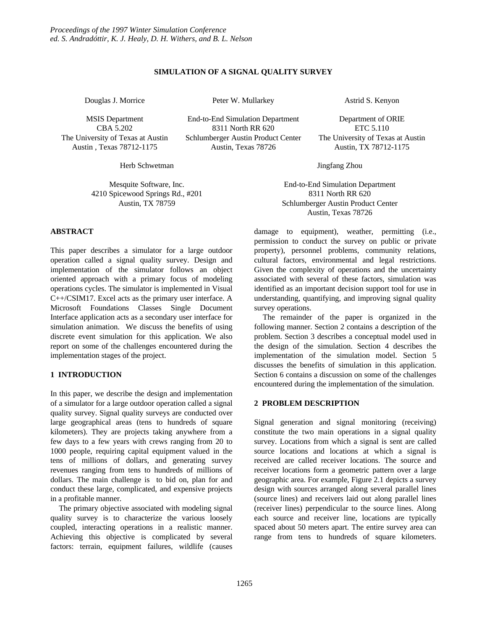# **SIMULATION OF A SIGNAL QUALITY SURVEY**

Douglas J. Morrice

Peter W. Mullarkey

MSIS Department CBA 5.202 The University of Texas at Austin Austin , Texas 78712-1175

End-to-End Simulation Department 8311 North RR 620 Schlumberger Austin Product Center Austin, Texas 78726

ETC 5.110 The University of Texas at Austin Austin, TX 78712-1175

Herb Schwetman

Mesquite Software, Inc. 4210 Spicewood Springs Rd., #201 Austin, TX 78759

# **ABSTRACT**

This paper describes a simulator for a large outdoor operation called a signal quality survey. Design and implementation of the simulator follows an object oriented approach with a primary focus of modeling operations cycles. The simulator is implemented in Visual C++/CSIM17. Excel acts as the primary user interface. A Microsoft Foundations Classes Single Document Interface application acts as a secondary user interface for simulation animation. We discuss the benefits of using discrete event simulation for this application. We also report on some of the challenges encountered during the implementation stages of the project.

### **1 INTRODUCTION**

In this paper, we describe the design and implementation of a simulator for a large outdoor operation called a signal quality survey. Signal quality surveys are conducted over large geographical areas (tens to hundreds of square kilometers). They are projects taking anywhere from a few days to a few years with crews ranging from 20 to 1000 people, requiring capital equipment valued in the tens of millions of dollars, and generating survey revenues ranging from tens to hundreds of millions of dollars. The main challenge is to bid on, plan for and conduct these large, complicated, and expensive projects in a profitable manner.

The primary objective associated with modeling signal quality survey is to characterize the various loosely coupled, interacting operations in a realistic manner. Achieving this objective is complicated by several factors: terrain, equipment failures, wildlife (causes Jingfang Zhou

End-to-End Simulation Department 8311 North RR 620 Schlumberger Austin Product Center Austin, Texas 78726

damage to equipment), weather, permitting (i.e., permission to conduct the survey on public or private property), personnel problems, community relations, cultural factors, environmental and legal restrictions. Given the complexity of operations and the uncertainty associated with several of these factors, simulation was identified as an important decision support tool for use in understanding, quantifying, and improving signal quality survey operations.

The remainder of the paper is organized in the following manner. Section 2 contains a description of the problem. Section 3 describes a conceptual model used in the design of the simulation. Section 4 describes the implementation of the simulation model. Section 5 discusses the benefits of simulation in this application. Section 6 contains a discussion on some of the challenges encountered during the implementation of the simulation.

### **2 PROBLEM DESCRIPTION**

Signal generation and signal monitoring (receiving) constitute the two main operations in a signal quality survey. Locations from which a signal is sent are called source locations and locations at which a signal is received are called receiver locations. The source and receiver locations form a geometric pattern over a large geographic area. For example, Figure 2.1 depicts a survey design with sources arranged along several parallel lines (source lines) and receivers laid out along parallel lines (receiver lines) perpendicular to the source lines. Along each source and receiver line, locations are typically spaced about 50 meters apart. The entire survey area can range from tens to hundreds of square kilometers.

Astrid S. Kenyon

Department of ORIE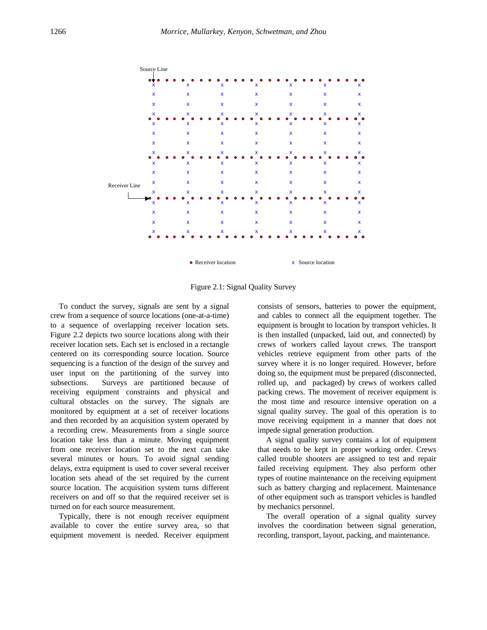

Figure 2.1: Signal Quality Survey

To conduct the survey, signals are sent by a signal crew from a sequence of source locations (one-at-a-time) to a sequence of overlapping receiver location sets. Figure 2.2 depicts two source locations along with their receiver location sets. Each set is enclosed in a rectangle centered on its corresponding source location. Source sequencing is a function of the design of the survey and user input on the partitioning of the survey into subsections. Surveys are partitioned because of receiving equipment constraints and physical and cultural obstacles on the survey. The signals are monitored by equipment at a set of receiver locations and then recorded by an acquisition system operated by a recording crew. Measurements from a single source location take less than a minute. Moving equipment from one receiver location set to the next can take several minutes or hours. To avoid signal sending delays, extra equipment is used to cover several receiver location sets ahead of the set required by the current source location. The acquisition system turns different receivers on and off so that the required receiver set is turned on for each source measurement.

Typically, there is not enough receiver equipment available to cover the entire survey area, so that equipment movement is needed. Receiver equipment consists of sensors, batteries to power the equipment, and cables to connect all the equipment together. The equipment is brought to location by transport vehicles. It is then installed (unpacked, laid out, and connected) by crews of workers called layout crews. The transport vehicles retrieve equipment from other parts of the survey where it is no longer required. However, before doing so, the equipment must be prepared (disconnected, rolled up, and packaged) by crews of workers called packing crews. The movement of receiver equipment is the most time and resource intensive operation on a signal quality survey. The goal of this operation is to move receiving equipment in a manner that does not impede signal generation production.

A signal quality survey contains a lot of equipment that needs to be kept in proper working order. Crews called trouble shooters are assigned to test and repair failed receiving equipment. They also perform other types of routine maintenance on the receiving equipment such as battery charging and replacement. Maintenance of other equipment such as transport vehicles is handled by mechanics personnel.

The overall operation of a signal quality survey involves the coordination between signal generation, recording, transport, layout, packing, and maintenance.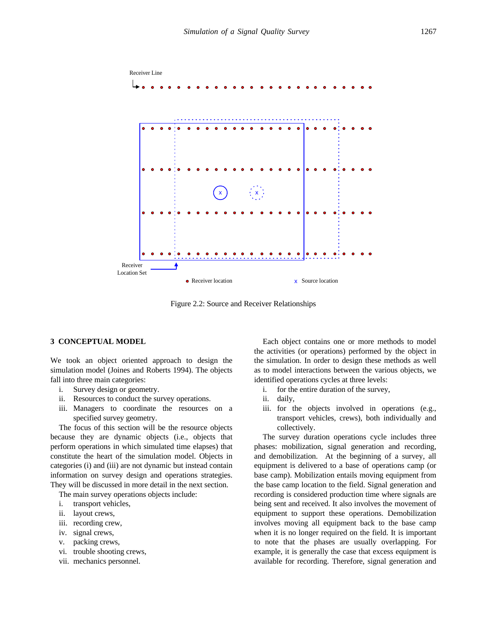

Figure 2.2: Source and Receiver Relationships

### **3 CONCEPTUAL MODEL**

We took an object oriented approach to design the simulation model (Joines and Roberts 1994). The objects fall into three main categories:

- i. Survey design or geometry.
- ii. Resources to conduct the survey operations.
- iii. Managers to coordinate the resources on a specified survey geometry.

The focus of this section will be the resource objects because they are dynamic objects (i.e., objects that perform operations in which simulated time elapses) that constitute the heart of the simulation model. Objects in categories (i) and (iii) are not dynamic but instead contain information on survey design and operations strategies. They will be discussed in more detail in the next section.

The main survey operations objects include:

- i. transport vehicles,
- ii. layout crews,
- iii. recording crew,
- iv. signal crews,
- v. packing crews,
- vi. trouble shooting crews,
- vii. mechanics personnel.

Each object contains one or more methods to model the activities (or operations) performed by the object in the simulation. In order to design these methods as well as to model interactions between the various objects, we identified operations cycles at three levels:

- i. for the entire duration of the survey,
- ii. daily,
- iii. for the objects involved in operations (e.g., transport vehicles, crews), both individually and collectively.

The survey duration operations cycle includes three phases: mobilization, signal generation and recording, and demobilization. At the beginning of a survey, all equipment is delivered to a base of operations camp (or base camp). Mobilization entails moving equipment from the base camp location to the field. Signal generation and recording is considered production time where signals are being sent and received. It also involves the movement of equipment to support these operations. Demobilization involves moving all equipment back to the base camp when it is no longer required on the field. It is important to note that the phases are usually overlapping. For example, it is generally the case that excess equipment is available for recording. Therefore, signal generation and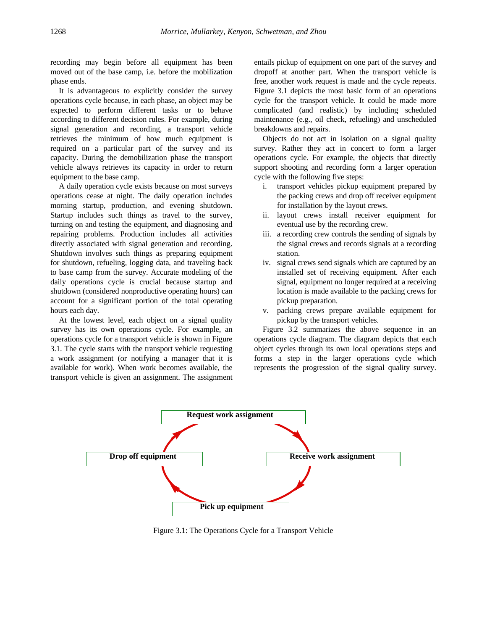recording may begin before all equipment has been moved out of the base camp, i.e. before the mobilization phase ends.

It is advantageous to explicitly consider the survey operations cycle because, in each phase, an object may be expected to perform different tasks or to behave according to different decision rules. For example, during signal generation and recording, a transport vehicle retrieves the minimum of how much equipment is required on a particular part of the survey and its capacity. During the demobilization phase the transport vehicle always retrieves its capacity in order to return equipment to the base camp.

A daily operation cycle exists because on most surveys operations cease at night. The daily operation includes morning startup, production, and evening shutdown. Startup includes such things as travel to the survey, turning on and testing the equipment, and diagnosing and repairing problems. Production includes all activities directly associated with signal generation and recording. Shutdown involves such things as preparing equipment for shutdown, refueling, logging data, and traveling back to base camp from the survey. Accurate modeling of the daily operations cycle is crucial because startup and shutdown (considered nonproductive operating hours) can account for a significant portion of the total operating hours each day.

At the lowest level, each object on a signal quality survey has its own operations cycle. For example, an operations cycle for a transport vehicle is shown in Figure 3.1. The cycle starts with the transport vehicle requesting a work assignment (or notifying a manager that it is available for work). When work becomes available, the transport vehicle is given an assignment. The assignment

entails pickup of equipment on one part of the survey and dropoff at another part. When the transport vehicle is free, another work request is made and the cycle repeats. Figure 3.1 depicts the most basic form of an operations cycle for the transport vehicle. It could be made more complicated (and realistic) by including scheduled maintenance (e.g., oil check, refueling) and unscheduled breakdowns and repairs.

Objects do not act in isolation on a signal quality survey. Rather they act in concert to form a larger operations cycle. For example, the objects that directly support shooting and recording form a larger operation cycle with the following five steps:

- i. transport vehicles pickup equipment prepared by the packing crews and drop off receiver equipment for installation by the layout crews.
- ii. layout crews install receiver equipment for eventual use by the recording crew.
- iii. a recording crew controls the sending of signals by the signal crews and records signals at a recording station.
- iv. signal crews send signals which are captured by an installed set of receiving equipment. After each signal, equipment no longer required at a receiving location is made available to the packing crews for pickup preparation.
- v. packing crews prepare available equipment for pickup by the transport vehicles.

Figure 3.2 summarizes the above sequence in an operations cycle diagram. The diagram depicts that each object cycles through its own local operations steps and forms a step in the larger operations cycle which represents the progression of the signal quality survey.



Figure 3.1: The Operations Cycle for a Transport Vehicle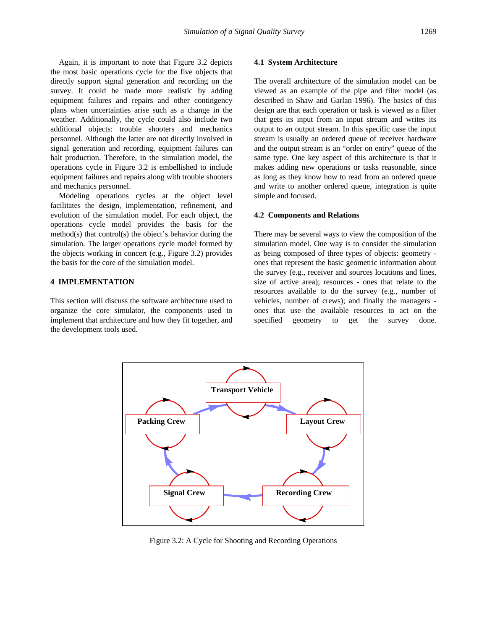Again, it is important to note that Figure 3.2 depicts the most basic operations cycle for the five objects that directly support signal generation and recording on the survey. It could be made more realistic by adding equipment failures and repairs and other contingency plans when uncertainties arise such as a change in the weather. Additionally, the cycle could also include two additional objects: trouble shooters and mechanics personnel. Although the latter are not directly involved in signal generation and recording, equipment failures can halt production. Therefore, in the simulation model, the operations cycle in Figure 3.2 is embellished to include equipment failures and repairs along with trouble shooters and mechanics personnel.

Modeling operations cycles at the object level facilitates the design, implementation, refinement, and evolution of the simulation model. For each object, the operations cycle model provides the basis for the method(s) that control(s) the object's behavior during the simulation. The larger operations cycle model formed by the objects working in concert (e.g., Figure 3.2) provides the basis for the core of the simulation model.

# **4 IMPLEMENTATION**

This section will discuss the software architecture used to organize the core simulator, the components used to implement that architecture and how they fit together, and the development tools used.

#### **4.1 System Architecture**

The overall architecture of the simulation model can be viewed as an example of the pipe and filter model (as described in Shaw and Garlan 1996). The basics of this design are that each operation or task is viewed as a filter that gets its input from an input stream and writes its output to an output stream. In this specific case the input stream is usually an ordered queue of receiver hardware and the output stream is an "order on entry" queue of the same type. One key aspect of this architecture is that it makes adding new operations or tasks reasonable, since as long as they know how to read from an ordered queue and write to another ordered queue, integration is quite simple and focused.

#### **4.2 Components and Relations**

There may be several ways to view the composition of the simulation model. One way is to consider the simulation as being composed of three types of objects: geometry ones that represent the basic geometric information about the survey (e.g., receiver and sources locations and lines, size of active area); resources - ones that relate to the resources available to do the survey (e.g., number of vehicles, number of crews); and finally the managers ones that use the available resources to act on the specified geometry to get the survey done.



Figure 3.2: A Cycle for Shooting and Recording Operations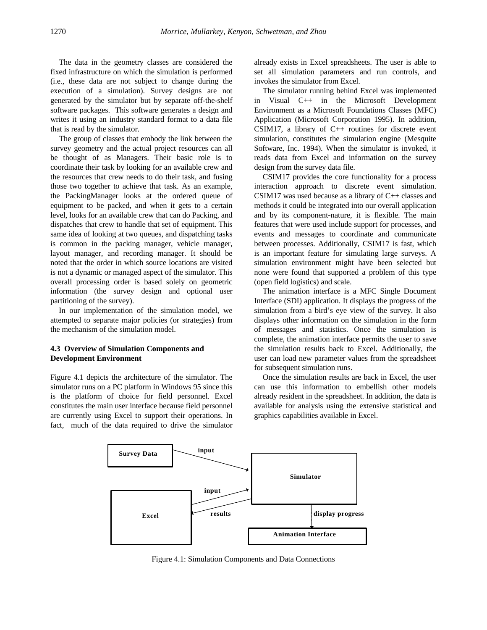The data in the geometry classes are considered the fixed infrastructure on which the simulation is performed (i.e., these data are not subject to change during the execution of a simulation). Survey designs are not generated by the simulator but by separate off-the-shelf software packages. This software generates a design and writes it using an industry standard format to a data file that is read by the simulator.

The group of classes that embody the link between the survey geometry and the actual project resources can all be thought of as Managers. Their basic role is to coordinate their task by looking for an available crew and the resources that crew needs to do their task, and fusing those two together to achieve that task. As an example, the PackingManager looks at the ordered queue of equipment to be packed, and when it gets to a certain level, looks for an available crew that can do Packing, and dispatches that crew to handle that set of equipment. This same idea of looking at two queues, and dispatching tasks is common in the packing manager, vehicle manager, layout manager, and recording manager. It should be noted that the order in which source locations are visited is not a dynamic or managed aspect of the simulator. This overall processing order is based solely on geometric information (the survey design and optional user partitioning of the survey).

In our implementation of the simulation model, we attempted to separate major policies (or strategies) from the mechanism of the simulation model.

# **4.3 Overview of Simulation Components and Development Environment**

Figure 4.1 depicts the architecture of the simulator. The simulator runs on a PC platform in Windows 95 since this is the platform of choice for field personnel. Excel constitutes the main user interface because field personnel are currently using Excel to support their operations. In fact, much of the data required to drive the simulator

already exists in Excel spreadsheets. The user is able to set all simulation parameters and run controls, and invokes the simulator from Excel.

The simulator running behind Excel was implemented in Visual C++ in the Microsoft Development Environment as a Microsoft Foundations Classes (MFC) Application (Microsoft Corporation 1995). In addition, CSIM17, a library of  $C++$  routines for discrete event simulation, constitutes the simulation engine (Mesquite Software, Inc. 1994). When the simulator is invoked, it reads data from Excel and information on the survey design from the survey data file.

CSIM17 provides the core functionality for a process interaction approach to discrete event simulation. CSIM17 was used because as a library of C++ classes and methods it could be integrated into our overall application and by its component-nature, it is flexible. The main features that were used include support for processes, and events and messages to coordinate and communicate between processes. Additionally, CSIM17 is fast, which is an important feature for simulating large surveys. A simulation environment might have been selected but none were found that supported a problem of this type (open field logistics) and scale.

The animation interface is a MFC Single Document Interface (SDI) application. It displays the progress of the simulation from a bird's eye view of the survey. It also displays other information on the simulation in the form of messages and statistics. Once the simulation is complete, the animation interface permits the user to save the simulation results back to Excel. Additionally, the user can load new parameter values from the spreadsheet for subsequent simulation runs.

Once the simulation results are back in Excel, the user can use this information to embellish other models already resident in the spreadsheet. In addition, the data is available for analysis using the extensive statistical and graphics capabilities available in Excel.



Figure 4.1: Simulation Components and Data Connections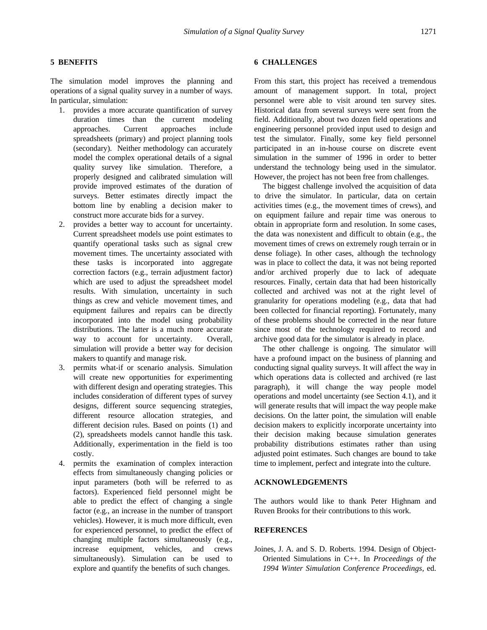# **5 BENEFITS**

The simulation model improves the planning and operations of a signal quality survey in a number of ways. In particular, simulation:

- 1. provides a more accurate quantification of survey duration times than the current modeling approaches. Current approaches include spreadsheets (primary) and project planning tools (secondary). Neither methodology can accurately model the complex operational details of a signal quality survey like simulation. Therefore, a properly designed and calibrated simulation will provide improved estimates of the duration of surveys. Better estimates directly impact the bottom line by enabling a decision maker to construct more accurate bids for a survey.
- 2. provides a better way to account for uncertainty. Current spreadsheet models use point estimates to quantify operational tasks such as signal crew movement times. The uncertainty associated with these tasks is incorporated into aggregate correction factors (e.g., terrain adjustment factor) which are used to adjust the spreadsheet model results. With simulation, uncertainty in such things as crew and vehicle movement times, and equipment failures and repairs can be directly incorporated into the model using probability distributions. The latter is a much more accurate way to account for uncertainty. Overall, simulation will provide a better way for decision makers to quantify and manage risk.
- 3. permits what-if or scenario analysis. Simulation will create new opportunities for experimenting with different design and operating strategies. This includes consideration of different types of survey designs, different source sequencing strategies, different resource allocation strategies, and different decision rules. Based on points (1) and (2), spreadsheets models cannot handle this task. Additionally, experimentation in the field is too costly.
- 4. permits the examination of complex interaction effects from simultaneously changing policies or input parameters (both will be referred to as factors). Experienced field personnel might be able to predict the effect of changing a single factor (e.g., an increase in the number of transport vehicles). However, it is much more difficult, even for experienced personnel, to predict the effect of changing multiple factors simultaneously (e.g., increase equipment, vehicles, and crews simultaneously). Simulation can be used to explore and quantify the benefits of such changes.

# **6 CHALLENGES**

From this start, this project has received a tremendous amount of management support. In total, project personnel were able to visit around ten survey sites. Historical data from several surveys were sent from the field. Additionally, about two dozen field operations and engineering personnel provided input used to design and test the simulator. Finally, some key field personnel participated in an in-house course on discrete event simulation in the summer of 1996 in order to better understand the technology being used in the simulator. However, the project has not been free from challenges.

The biggest challenge involved the acquisition of data to drive the simulator. In particular, data on certain activities times (e.g., the movement times of crews), and on equipment failure and repair time was onerous to obtain in appropriate form and resolution. In some cases, the data was nonexistent and difficult to obtain (e.g., the movement times of crews on extremely rough terrain or in dense foliage). In other cases, although the technology was in place to collect the data, it was not being reported and/or archived properly due to lack of adequate resources. Finally, certain data that had been historically collected and archived was not at the right level of granularity for operations modeling (e.g., data that had been collected for financial reporting). Fortunately, many of these problems should be corrected in the near future since most of the technology required to record and archive good data for the simulator is already in place.

The other challenge is ongoing. The simulator will have a profound impact on the business of planning and conducting signal quality surveys. It will affect the way in which operations data is collected and archived (re last paragraph), it will change the way people model operations and model uncertainty (see Section 4.1), and it will generate results that will impact the way people make decisions. On the latter point, the simulation will enable decision makers to explicitly incorporate uncertainty into their decision making because simulation generates probability distributions estimates rather than using adjusted point estimates. Such changes are bound to take time to implement, perfect and integrate into the culture.

# **ACKNOWLEDGEMENTS**

The authors would like to thank Peter Highnam and Ruven Brooks for their contributions to this work.

### **REFERENCES**

Joines, J. A. and S. D. Roberts. 1994. Design of Object-Oriented Simulations in C++. In *Proceedings of the 1994 Winter Simulation Conference Proceedings,* ed.